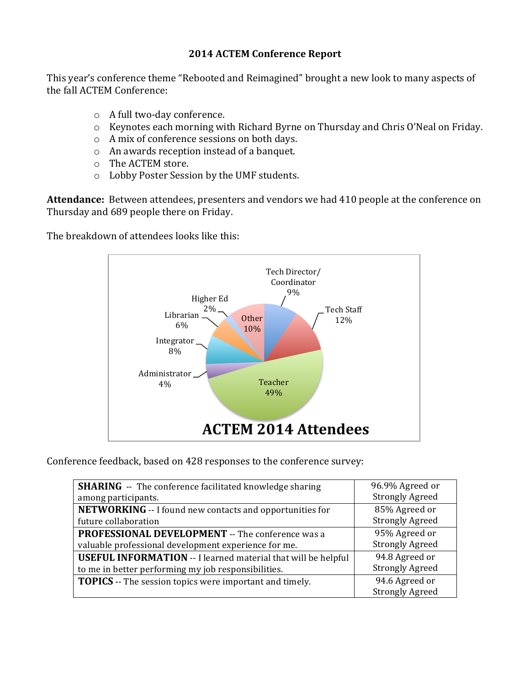## **2014 ACTEM Conference Report**

This year's conference theme "Rebooted and Reimagined" brought a new look to many aspects of the fall ACTEM Conference:

- $\circ$  A full two-day conference.
- $\circ$  Keynotes each morning with Richard Byrne on Thursday and Chris O'Neal on Friday.
- $\circ$  A mix of conference sessions on both days.
- $\circ$  An awards reception instead of a banquet.
- o The ACTEM store.
- o Lobby Poster Session by the UMF students.

Attendance: Between attendees, presenters and vendors we had 410 people at the conference on Thursday and 689 people there on Friday.

The breakdown of attendees looks like this:



Conference feedback, based on 428 responses to the conference survey:

| <b>SHARING</b> -- The conference facilitated knowledge sharing       | 96.9% Agreed or        |
|----------------------------------------------------------------------|------------------------|
| among participants.                                                  | <b>Strongly Agreed</b> |
| NETWORKING -- I found new contacts and opportunities for             | 85% Agreed or          |
| future collaboration                                                 | <b>Strongly Agreed</b> |
| <b>PROFESSIONAL DEVELOPMENT</b> -- The conference was a              | 95% Agreed or          |
| valuable professional development experience for me.                 | <b>Strongly Agreed</b> |
| <b>USEFUL INFORMATION</b> -- I learned material that will be helpful | 94.8 Agreed or         |
| to me in better performing my job responsibilities.                  | <b>Strongly Agreed</b> |
| <b>TOPICS</b> -- The session topics were important and timely.       | 94.6 Agreed or         |
|                                                                      | <b>Strongly Agreed</b> |